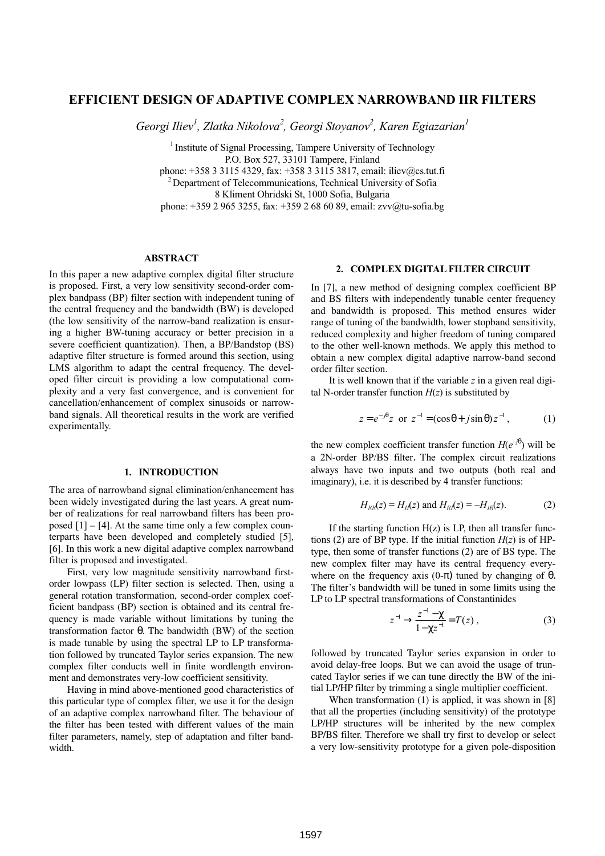# **EFFICIENT DESIGN OF ADAPTIVE COMPLEX NARROWBAND IIR FILTERS**

*Georgi Iliev<sup>1</sup> , Zlatka Nikolova<sup>2</sup> , Georgi Stoyanov<sup>2</sup> , Karen Egiazarian<sup>1</sup>*

<sup>1</sup> Institute of Signal Processing, Tampere University of Technology P.O. Box 527, 33101 Tampere, Finland phone: +358 3 3115 4329, fax: +358 3 3115 3817, email: iliev@cs.tut.fi

 $2$  Department of Telecommunications, Technical University of Sofia

8 Kliment Ohridski St, 1000 Sofia, Bulgaria

phone: +359 2 965 3255, fax: +359 2 68 60 89, email: zvv@tu-sofia.bg

### **ABSTRACT**

In this paper a new adaptive complex digital filter structure is proposed. First, a very low sensitivity second-order complex bandpass (BP) filter section with independent tuning of the central frequency and the bandwidth (BW) is developed (the low sensitivity of the narrow-band realization is ensuring a higher BW-tuning accuracy or better precision in a severe coefficient quantization). Then, a BP/Bandstop (BS) adaptive filter structure is formed around this section, using LMS algorithm to adapt the central frequency. The developed filter circuit is providing a low computational complexity and a very fast convergence, and is convenient for cancellation/enhancement of complex sinusoids or narrowband signals. All theoretical results in the work are verified experimentally.

## **1. INTRODUCTION**

The area of narrowband signal elimination/enhancement has been widely investigated during the last years. A great number of realizations for real narrowband filters has been proposed  $[1] - [4]$ . At the same time only a few complex counterparts have been developed and completely studied [5], [6]. In this work a new digital adaptive complex narrowband filter is proposed and investigated.

First, very low magnitude sensitivity narrowband firstorder lowpass (LP) filter section is selected. Then, using a general rotation transformation, second-order complex coefficient bandpass (BP) section is obtained and its central frequency is made variable without limitations by tuning the transformation factor θ. The bandwidth (BW) of the section is made tunable by using the spectral LP to LP transformation followed by truncated Taylor series expansion. The new complex filter conducts well in finite wordlength environment and demonstrates very-low coefficient sensitivity.

Having in mind above-mentioned good characteristics of this particular type of complex filter, we use it for the design of an adaptive complex narrowband filter. The behaviour of the filter has been tested with different values of the main filter parameters, namely, step of adaptation and filter bandwidth.

### **2. COMPLEX DIGITAL FILTER CIRCUIT**

In [7], a new method of designing complex coefficient BP and BS filters with independently tunable center frequency and bandwidth is proposed. This method ensures wider range of tuning of the bandwidth, lower stopband sensitivity, reduced complexity and higher freedom of tuning compared to the other well-known methods. We apply this method to obtain a new complex digital adaptive narrow-band second order filter section.

It is well known that if the variable *z* in a given real digital N-order transfer function  $H(z)$  is substituted by

$$
z = e^{-j\theta} z
$$
 or  $z^{-1} = (\cos \theta + j \sin \theta) z^{-1}$ , (1)

the new complex coefficient transfer function  $H(e^{-j\theta})$  will be a 2N-order BP/BS filter. The complex circuit realizations always have two inputs and two outputs (both real and imaginary), i.e. it is described by 4 transfer functions:

$$
H_{RR}(z) = H_{II}(z) \text{ and } H_{RI}(z) = -H_{IR}(z). \tag{2}
$$

If the starting function  $H(z)$  is LP, then all transfer functions (2) are of BP type. If the initial function  $H(z)$  is of HPtype, then some of transfer functions (2) are of BS type. The new complex filter may have its central frequency everywhere on the frequency axis  $(0-\pi)$  tuned by changing of  $\theta$ . The filter's bandwidth will be tuned in some limits using the LP to LP spectral transformations of Constantinides

$$
z^{-1} \to \frac{z^{-1} - \chi}{1 - \chi z^{-1}} = T(z) , \qquad (3)
$$

followed by truncated Taylor series expansion in order to avoid delay-free loops. But we can avoid the usage of truncated Taylor series if we can tune directly the BW of the initial LP/HP filter by trimming a single multiplier coefficient.

When transformation (1) is applied, it was shown in [8] that all the properties (including sensitivity) of the prototype LP/HP structures will be inherited by the new complex BP/BS filter. Therefore we shall try first to develop or select a very low-sensitivity prototype for a given pole-disposition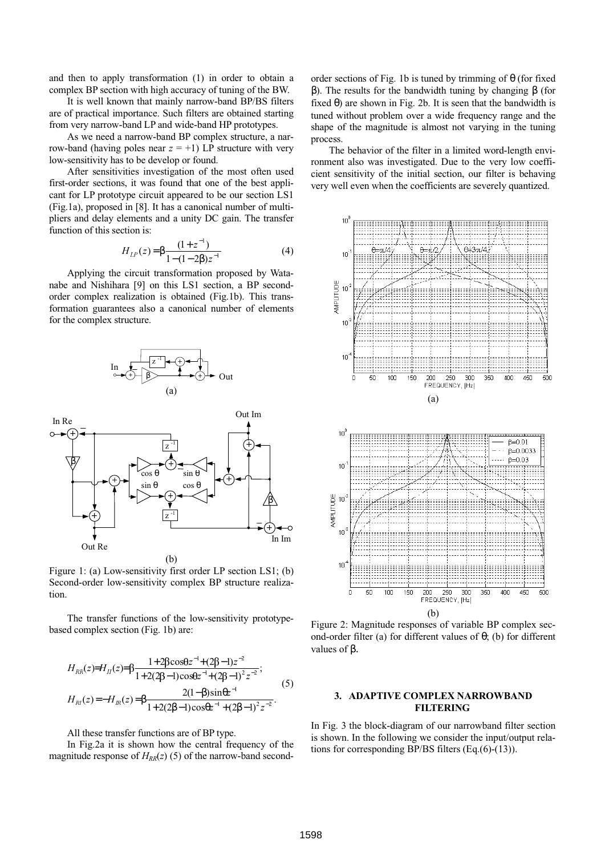and then to apply transformation (1) in order to obtain a complex BP section with high accuracy of tuning of the BW.

It is well known that mainly narrow-band BP/BS filters are of practical importance. Such filters are obtained starting from very narrow-band LP and wide-band HP prototypes.

As we need a narrow-band BP complex structure, a narrow-band (having poles near  $z = +1$ ) LP structure with very low-sensitivity has to be develop or found.

After sensitivities investigation of the most often used first-order sections, it was found that one of the best applicant for LP prototype circuit appeared to be our section LS1 (Fig.1a), proposed in [8]. It has a canonical number of multipliers and delay elements and a unity DC gain. The transfer function of this section is:

$$
H_{LP}(z) = \beta \frac{(1+z^{-1})}{1-(1-2\beta)z^{-1}} \tag{4}
$$

Applying the circuit transformation proposed by Watanabe and Nishihara [9] on this LS1 section, a BP secondorder complex realization is obtained (Fig.1b). This transformation guarantees also a canonical number of elements for the complex structure.





Figure 1: (a) Low-sensitivity first order LP section LS1; (b) Second-order low-sensitivity complex BP structure realization.

The transfer functions of the low-sensitivity prototypebased complex section (Fig. 1b) are:

$$
H_{RR}(z) = H_{II}(z) = \beta \frac{1 + 2\beta \cos \theta z^{-1} + (2\beta - 1)z^{-2}}{1 + 2(2\beta - 1)\cos \theta z^{-1} + (2\beta - 1)^2 z^{-2}};
$$
  
\n
$$
H_{RI}(z) = -H_{IR}(z) = \beta \frac{2(1 - \beta)\sin \theta z^{-1}}{1 + 2(2\beta - 1)\cos \theta z^{-1} + (2\beta - 1)^2 z^{-2}}.
$$
\n(5)

#### All these transfer functions are of BP type.

In Fig.2a it is shown how the central frequency of the magnitude response of  $H_{RR}(z)$  (5) of the narrow-band secondorder sections of Fig. 1b is tuned by trimming of  $\theta$  (for fixed β). The results for the bandwidth tuning by changing β (for fixed  $\theta$ ) are shown in Fig. 2b. It is seen that the bandwidth is tuned without problem over a wide frequency range and the shape of the magnitude is almost not varying in the tuning process.

The behavior of the filter in a limited word-length environment also was investigated. Due to the very low coefficient sensitivity of the initial section, our filter is behaving very well even when the coefficients are severely quantized.



Figure 2: Magnitude responses of variable BP complex second-order filter (a) for different values of θ; (b) for different values of β.

# **3. ADAPTIVE COMPLEX NARROWBAND FILTERING**

In Fig. 3 the block-diagram of our narrowband filter section is shown. In the following we consider the input/output relations for corresponding BP/BS filters (Eq.(6)-(13)).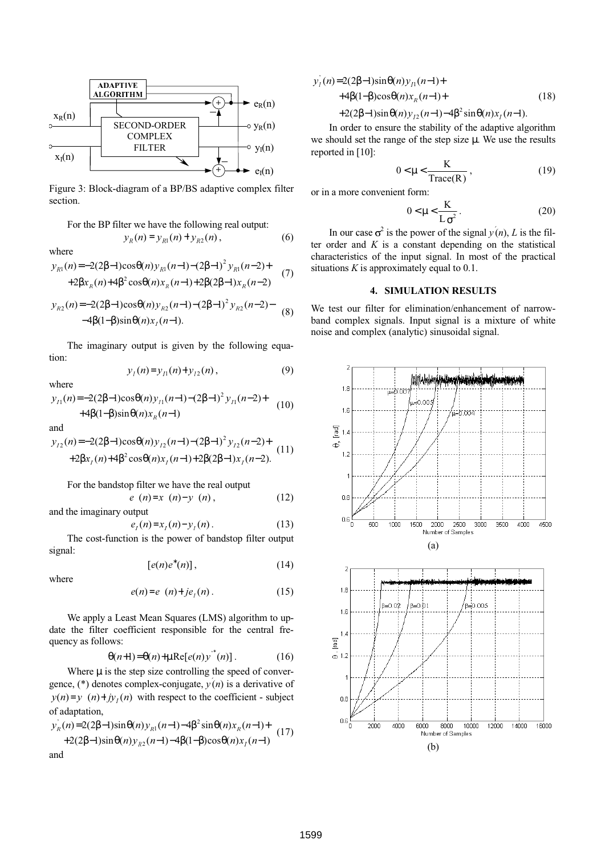

Figure 3: Block-diagram of a BP/BS adaptive complex filter section.

For the BP filter we have the following real output:  

$$
y_R(n) = y_{R1}(n) + y_{R2}(n),
$$
 (6)

where

$$
y_{R1}(n) = -2(2\beta - 1)\cos\theta(n)y_{R1}(n-1) - (2\beta - 1)^2 y_{R1}(n-2) +
$$
  
+2 $\beta x_R(n)$ +4 $\beta^2 \cos\theta(n)x_R(n-1)$ +2 $\beta(2\beta-1)x_R(n-2)$  (7)

$$
y_{R2}(n) = -2(2\beta - 1)\cos\theta(n)y_{R2}(n-1) - (2\beta - 1)^2 y_{R2}(n-2) -
$$
  
-4\beta(1-\beta)\sin\theta(n)x<sub>I</sub>(n-1). (8)

The imaginary output is given by the following equation:

$$
y_1(n)=y_{11}(n)+y_{12}(n), \hspace{1cm} (9)
$$

where

$$
y_{I1}(n) = -2(2\beta - 1)\cos\theta(n)y_{I1}(n-1) - (2\beta - 1)^2 y_{I1}(n-2) +
$$
  
+4\beta(1-\beta)\sin\theta(n)x\_R(n-1) (10)

and

$$
y_{12}(n) = -2(2\beta - 1)\cos\theta(n)y_{12}(n-1) - (2\beta - 1)^2 y_{12}(n-2) +
$$
  
+2 $\beta x_1(n)+4\beta^2 \cos\theta(n)x_1(n-1)+2\beta(2\beta-1)x_1(n-2).$  (11)

For the bandstop filter we have the real output

 $e(n)=x(n)-y(n)$ , (12) and the imaginary output

$$
e_{I}(n)=x_{I}(n)-y_{I}(n).
$$
 (13)

The cost-function is the power of bandstop filter output signal:

$$
[e(n)e^*(n)],\qquad \qquad (14)
$$

where

$$
e(n)=e(n)+jeI(n).
$$
 (15)

We apply a Least Mean Squares (LMS) algorithm to update the filter coefficient responsible for the central frequency as follows:

$$
\theta(n+1) = \theta(n) + \mu \text{Re}[e(n)y^{(n)}]. \tag{16}
$$

Where  $\mu$  is the step size controlling the speed of convergence,  $(*)$  denotes complex-conjugate,  $y(n)$  is a derivative of  $y(n)=y$  (n) +  $jy_1(n)$  with respect to the coefficient - subject of adaptation,

$$
y_R^{\dagger}(n) = 2(2\beta - 1)\sin\theta(n)y_{R1}(n-1) - 4\beta^2 \sin\theta(n)x_R(n-1) + 2(2\beta - 1)\sin\theta(n)y_{R2}(n-1) - 4\beta(1-\beta)\cos\theta(n)x_I(n-1)
$$
 (17)  
and

$$
y'_1(n) = 2(2\beta - 1)\sin\theta(n)y_{11}(n-1) +
$$
  
+4\beta(1-\beta)\cos\theta(n)x\_R(n-1)+  
+2(2\beta - 1)\sin\theta(n)y\_{12}(n-1)-4\beta^2\sin\theta(n)x\_1(n-1). (18)

In order to ensure the stability of the adaptive algorithm we should set the range of the step size µ. We use the results reported in [10]:

$$
0 < \mu < \frac{K}{Trace(R)},\tag{19}
$$

or in a more convenient form:

$$
0 < \mu < \frac{K}{L\sigma^2} \tag{20}
$$

In our case  $\sigma^2$  is the power of the signal  $y(n)$ , *L* is the filter order and  $K$  is a constant depending on the statistical characteristics of the input signal. In most of the practical situations *K* is approximately equal to 0.1.

# **4. SIMULATION RESULTS**

We test our filter for elimination/enhancement of narrowband complex signals. Input signal is a mixture of white noise and complex (analytic) sinusoidal signal.